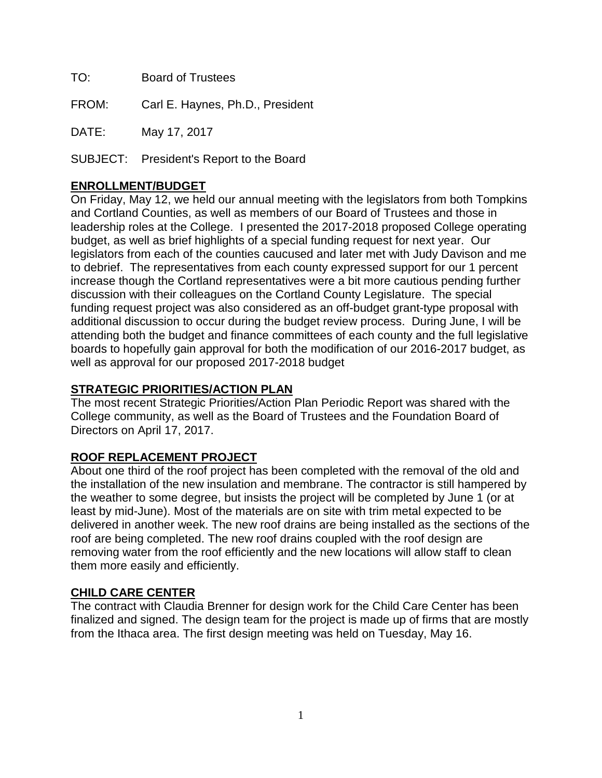TO: Board of Trustees

FROM: Carl E. Haynes, Ph.D., President

DATE: May 17, 2017

SUBJECT: President's Report to the Board

## **ENROLLMENT/BUDGET**

On Friday, May 12, we held our annual meeting with the legislators from both Tompkins and Cortland Counties, as well as members of our Board of Trustees and those in leadership roles at the College. I presented the 2017-2018 proposed College operating budget, as well as brief highlights of a special funding request for next year. Our legislators from each of the counties caucused and later met with Judy Davison and me to debrief. The representatives from each county expressed support for our 1 percent increase though the Cortland representatives were a bit more cautious pending further discussion with their colleagues on the Cortland County Legislature. The special funding request project was also considered as an off-budget grant-type proposal with additional discussion to occur during the budget review process. During June, I will be attending both the budget and finance committees of each county and the full legislative boards to hopefully gain approval for both the modification of our 2016-2017 budget, as well as approval for our proposed 2017-2018 budget

### **STRATEGIC PRIORITIES/ACTION PLAN**

The most recent Strategic Priorities/Action Plan Periodic Report was shared with the College community, as well as the Board of Trustees and the Foundation Board of Directors on April 17, 2017.

## **ROOF REPLACEMENT PROJECT**

About one third of the roof project has been completed with the removal of the old and the installation of the new insulation and membrane. The contractor is still hampered by the weather to some degree, but insists the project will be completed by June 1 (or at least by mid-June). Most of the materials are on site with trim metal expected to be delivered in another week. The new roof drains are being installed as the sections of the roof are being completed. The new roof drains coupled with the roof design are removing water from the roof efficiently and the new locations will allow staff to clean them more easily and efficiently.

#### **CHILD CARE CENTER**

The contract with Claudia Brenner for design work for the Child Care Center has been finalized and signed. The design team for the project is made up of firms that are mostly from the Ithaca area. The first design meeting was held on Tuesday, May 16.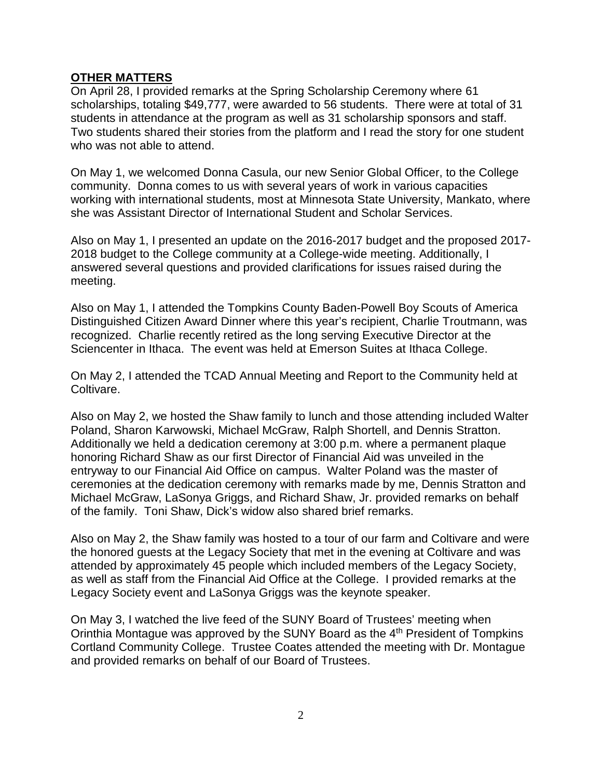#### **OTHER MATTERS**

On April 28, I provided remarks at the Spring Scholarship Ceremony where 61 scholarships, totaling \$49,777, were awarded to 56 students. There were at total of 31 students in attendance at the program as well as 31 scholarship sponsors and staff. Two students shared their stories from the platform and I read the story for one student who was not able to attend.

On May 1, we welcomed Donna Casula, our new Senior Global Officer, to the College community. Donna comes to us with several years of work in various capacities working with international students, most at Minnesota State University, Mankato, where she was Assistant Director of International Student and Scholar Services.

Also on May 1, I presented an update on the 2016-2017 budget and the proposed 2017- 2018 budget to the College community at a College-wide meeting. Additionally, I answered several questions and provided clarifications for issues raised during the meeting.

Also on May 1, I attended the Tompkins County Baden-Powell Boy Scouts of America Distinguished Citizen Award Dinner where this year's recipient, Charlie Troutmann, was recognized. Charlie recently retired as the long serving Executive Director at the Sciencenter in Ithaca. The event was held at Emerson Suites at Ithaca College.

On May 2, I attended the TCAD Annual Meeting and Report to the Community held at Coltivare.

Also on May 2, we hosted the Shaw family to lunch and those attending included Walter Poland, Sharon Karwowski, Michael McGraw, Ralph Shortell, and Dennis Stratton. Additionally we held a dedication ceremony at 3:00 p.m. where a permanent plaque honoring Richard Shaw as our first Director of Financial Aid was unveiled in the entryway to our Financial Aid Office on campus. Walter Poland was the master of ceremonies at the dedication ceremony with remarks made by me, Dennis Stratton and Michael McGraw, LaSonya Griggs, and Richard Shaw, Jr. provided remarks on behalf of the family. Toni Shaw, Dick's widow also shared brief remarks.

Also on May 2, the Shaw family was hosted to a tour of our farm and Coltivare and were the honored guests at the Legacy Society that met in the evening at Coltivare and was attended by approximately 45 people which included members of the Legacy Society, as well as staff from the Financial Aid Office at the College. I provided remarks at the Legacy Society event and LaSonya Griggs was the keynote speaker.

On May 3, I watched the live feed of the SUNY Board of Trustees' meeting when Orinthia Montague was approved by the SUNY Board as the  $4<sup>th</sup>$  President of Tompkins Cortland Community College. Trustee Coates attended the meeting with Dr. Montague and provided remarks on behalf of our Board of Trustees.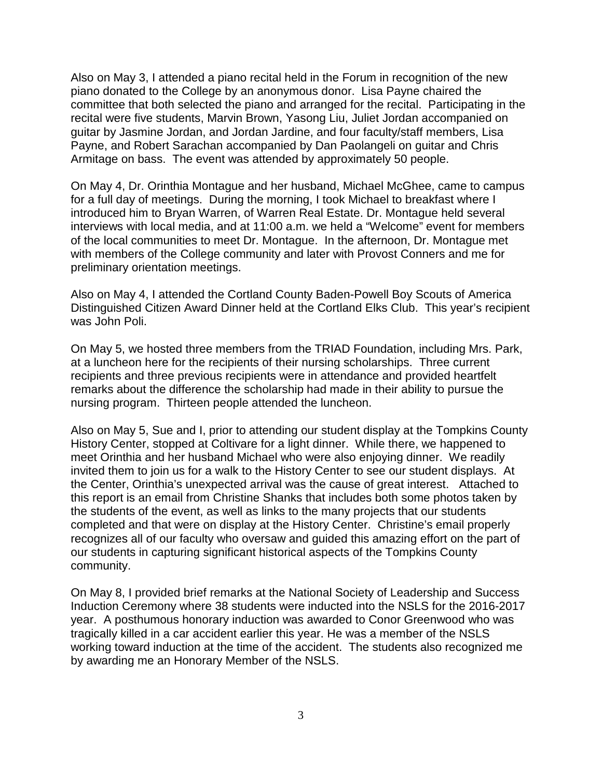Also on May 3, I attended a piano recital held in the Forum in recognition of the new piano donated to the College by an anonymous donor. Lisa Payne chaired the committee that both selected the piano and arranged for the recital. Participating in the recital were five students, Marvin Brown, Yasong Liu, Juliet Jordan accompanied on guitar by Jasmine Jordan, and Jordan Jardine, and four faculty/staff members, Lisa Payne, and Robert Sarachan accompanied by Dan Paolangeli on guitar and Chris Armitage on bass. The event was attended by approximately 50 people.

On May 4, Dr. Orinthia Montague and her husband, Michael McGhee, came to campus for a full day of meetings. During the morning, I took Michael to breakfast where I introduced him to Bryan Warren, of Warren Real Estate. Dr. Montague held several interviews with local media, and at 11:00 a.m. we held a "Welcome" event for members of the local communities to meet Dr. Montague. In the afternoon, Dr. Montague met with members of the College community and later with Provost Conners and me for preliminary orientation meetings.

Also on May 4, I attended the Cortland County Baden-Powell Boy Scouts of America Distinguished Citizen Award Dinner held at the Cortland Elks Club. This year's recipient was John Poli.

On May 5, we hosted three members from the TRIAD Foundation, including Mrs. Park, at a luncheon here for the recipients of their nursing scholarships. Three current recipients and three previous recipients were in attendance and provided heartfelt remarks about the difference the scholarship had made in their ability to pursue the nursing program. Thirteen people attended the luncheon.

Also on May 5, Sue and I, prior to attending our student display at the Tompkins County History Center, stopped at Coltivare for a light dinner. While there, we happened to meet Orinthia and her husband Michael who were also enjoying dinner. We readily invited them to join us for a walk to the History Center to see our student displays. At the Center, Orinthia's unexpected arrival was the cause of great interest. Attached to this report is an email from Christine Shanks that includes both some photos taken by the students of the event, as well as links to the many projects that our students completed and that were on display at the History Center. Christine's email properly recognizes all of our faculty who oversaw and guided this amazing effort on the part of our students in capturing significant historical aspects of the Tompkins County community.

On May 8, I provided brief remarks at the National Society of Leadership and Success Induction Ceremony where 38 students were inducted into the NSLS for the 2016-2017 year. A posthumous honorary induction was awarded to Conor Greenwood who was tragically killed in a car accident earlier this year. He was a member of the NSLS working toward induction at the time of the accident. The students also recognized me by awarding me an Honorary Member of the NSLS.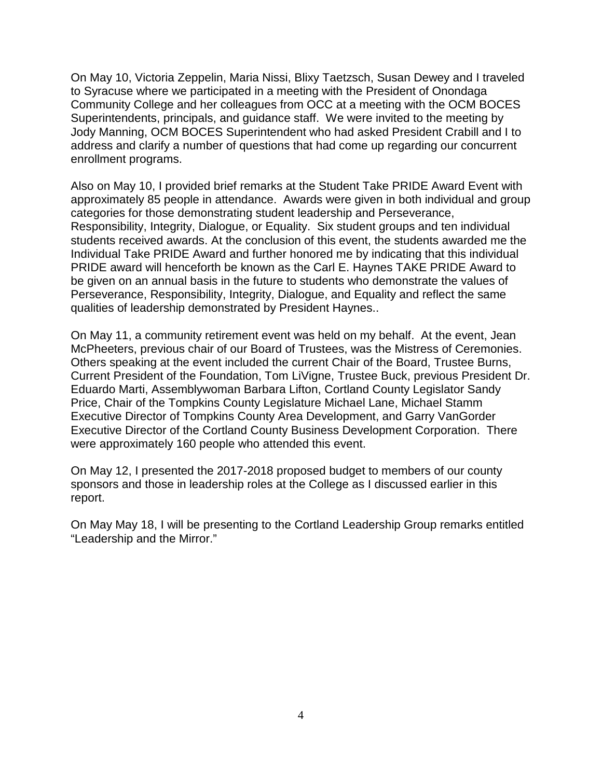On May 10, Victoria Zeppelin, Maria Nissi, Blixy Taetzsch, Susan Dewey and I traveled to Syracuse where we participated in a meeting with the President of Onondaga Community College and her colleagues from OCC at a meeting with the OCM BOCES Superintendents, principals, and guidance staff. We were invited to the meeting by Jody Manning, OCM BOCES Superintendent who had asked President Crabill and I to address and clarify a number of questions that had come up regarding our concurrent enrollment programs.

Also on May 10, I provided brief remarks at the Student Take PRIDE Award Event with approximately 85 people in attendance. Awards were given in both individual and group categories for those demonstrating student leadership and Perseverance, Responsibility, Integrity, Dialogue, or Equality. Six student groups and ten individual students received awards. At the conclusion of this event, the students awarded me the Individual Take PRIDE Award and further honored me by indicating that this individual PRIDE award will henceforth be known as the Carl E. Haynes TAKE PRIDE Award to be given on an annual basis in the future to students who demonstrate the values of Perseverance, Responsibility, Integrity, Dialogue, and Equality and reflect the same qualities of leadership demonstrated by President Haynes..

On May 11, a community retirement event was held on my behalf. At the event, Jean McPheeters, previous chair of our Board of Trustees, was the Mistress of Ceremonies. Others speaking at the event included the current Chair of the Board, Trustee Burns, Current President of the Foundation, Tom LiVigne, Trustee Buck, previous President Dr. Eduardo Marti, Assemblywoman Barbara Lifton, Cortland County Legislator Sandy Price, Chair of the Tompkins County Legislature Michael Lane, Michael Stamm Executive Director of Tompkins County Area Development, and Garry VanGorder Executive Director of the Cortland County Business Development Corporation. There were approximately 160 people who attended this event.

On May 12, I presented the 2017-2018 proposed budget to members of our county sponsors and those in leadership roles at the College as I discussed earlier in this report.

On May May 18, I will be presenting to the Cortland Leadership Group remarks entitled "Leadership and the Mirror."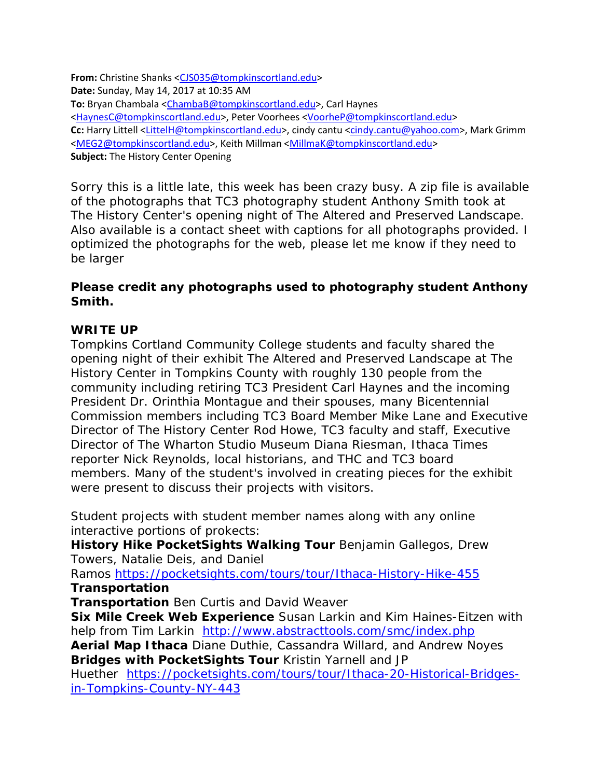**From:** Christine Shanks [<CJS035@tompkinscortland.edu>](mailto:CJS035@tompkinscortland.edu) **Date:** Sunday, May 14, 2017 at 10:35 AM **To:** Bryan Chambala [<ChambaB@tompkinscortland.edu>](mailto:ChambaB@tompkinscortland.edu), Carl Haynes [<HaynesC@tompkinscortland.edu>](mailto:HaynesC@tompkinscortland.edu), Peter Voorhees [<VoorheP@tompkinscortland.edu>](mailto:VoorheP@tompkinscortland.edu) **Cc:** Harry Littell [<LittelH@tompkinscortland.edu>](mailto:LittelH@tompkinscortland.edu), cindy cantu [<cindy.cantu@yahoo.com>](mailto:cindy.cantu@yahoo.com), Mark Grimm [<MEG2@tompkinscortland.edu>](mailto:MEG2@tompkinscortland.edu), Keith Millman [<MillmaK@tompkinscortland.edu>](mailto:MillmaK@tompkinscortland.edu) **Subject:** The History Center Opening

Sorry this is a little late, this week has been crazy busy. A zip file is available of the photographs that TC3 photography student Anthony Smith took at The History Center's opening night of The Altered and Preserved Landscape. Also available is a contact sheet with captions for all photographs provided. I optimized the photographs for the web, please let me know if they need to be larger

# **Please credit any photographs used to photography student Anthony Smith.**

# **WRITE UP**

Tompkins Cortland Community College students and faculty shared the opening night of their exhibit The Altered and Preserved Landscape at The History Center in Tompkins County with roughly 130 people from the community including retiring TC3 President Carl Haynes and the incoming President Dr. Orinthia Montague and their spouses, many Bicentennial Commission members including TC3 Board Member Mike Lane and Executive Director of The History Center Rod Howe, TC3 faculty and staff, Executive Director of The Wharton Studio Museum Diana Riesman, Ithaca Times reporter Nick Reynolds, local historians, and THC and TC3 board members. Many of the student's involved in creating pieces for the exhibit were present to discuss their projects with visitors.

Student projects with student member names along with any online interactive portions of prokects:

**History Hike PocketSights Walking Tour** Benjamin Gallegos, Drew Towers, Natalie Deis, and Daniel

Ramos <https://pocketsights.com/tours/tour/Ithaca-History-Hike-455> **Transportation**

**Transportation** Ben Curtis and David Weaver

**Six Mile Creek Web Experience** Susan Larkin and Kim Haines-Eitzen with help from Tim Larkin <http://www.abstracttools.com/smc/index.php>

**Aerial Map Ithaca** Diane Duthie, Cassandra Willard, and Andrew Noyes **Bridges with PocketSights Tour** Kristin Yarnell and JP

Huether [https://pocketsights.com/tours/tour/Ithaca-20-Historical-Bridges](https://pocketsights.com/tours/tour/Ithaca-20-Historical-Bridges-in-Tompkins-County-NY-443)[in-Tompkins-County-NY-443](https://pocketsights.com/tours/tour/Ithaca-20-Historical-Bridges-in-Tompkins-County-NY-443)